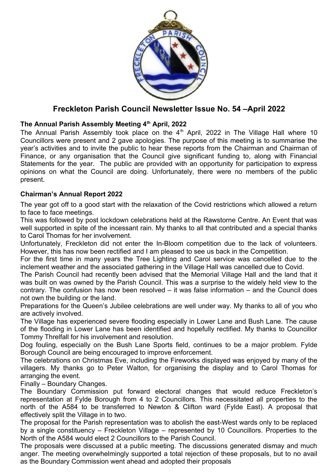

# **Freckleton Parish Council Newsletter Issue No. 54 –April 2022**

### **The Annual Parish Assembly Meeting 4th April, 2022**

The Annual Parish Assembly took place on the  $4<sup>th</sup>$  April, 2022 in The Village Hall where 10 Councillors were present and 2 gave apologies. The purpose of this meeting is to summarise the year's activities and to invite the public to hear these reports from the Chairman and Chairman of Finance, or any organisation that the Council give significant funding to, along with Financial Statements for the year. The public are provided with an opportunity for participation to express opinions on what the Council are doing. Unfortunately, there were no members of the public present.

### **Chairman's Annual Report 2022**

The year got off to a good start with the relaxation of the Covid restrictions which allowed a return to face to face meetings.

This was followed by post lockdown celebrations held at the Rawstorne Centre. An Event that was well supported in spite of the incessant rain. My thanks to all that contributed and a special thanks to Carol Thomas for her involvement.

Unfortunately, Freckleton did not enter the In-Bloom competition due to the lack of volunteers. However, this has now been rectified and I am pleased to see us back in the Competition.

For the first time in many years the Tree Lighting and Carol service was cancelled due to the inclement weather and the associated gathering in the Village Hall was cancelled due to Covid.

The Parish Council had recently been advised that the Memorial Village Hall and the land that it was built on was owned by the Parish Council. This was a surprise to the widely held view to the contrary. The confusion has now been resolved – it was false information – and the Council does not own the building or the land.

Preparations for the Queen's Jubilee celebrations are well under way. My thanks to all of you who are actively involved.

The Village has experienced severe flooding especially in Lower Lane and Bush Lane. The cause of the flooding in Lower Lane has been identified and hopefully rectified. My thanks to Councillor Tommy Threlfall for his involvement and resolution.

Dog fouling, especially on the Bush Lane Sports field, continues to be a major problem. Fylde Borough Council are being encouraged to improve enforcement.

The celebrations on Christmas Eve, including the Fireworks displayed was enjoyed by many of the villagers. My thanks go to Peter Walton, for organising the display and to Carol Thomas for arranging the event.

Finally – Boundary Changes.

The Boundary Commission put forward electoral changes that would reduce Freckleton's representation at Fylde Borough from 4 to 2 Councillors. This necessitated all properties to the north of the A584 to be transferred to Newton & Clifton ward (Fylde East). A proposal that effectively split the Village in to two.

The proposal for the Parish representation was to abolish the east-West wards only to be replaced by a single constituency – Freckleton Village – represented by 10 Councillors. Properties to the North of the A584 would elect 2 Councillors to the Parish Council.

The proposals were discussed at a public meeting. The discussions generated dismay and much anger. The meeting overwhelmingly supported a total rejection of these proposals, but to no avail as the Boundary Commission went ahead and adopted their proposals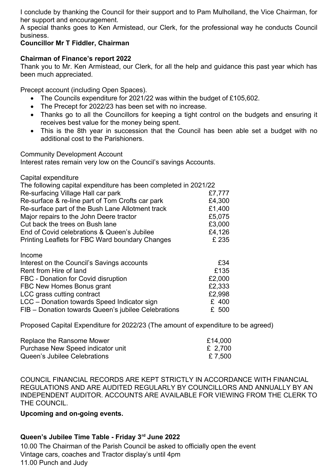I conclude by thanking the Council for their support and to Pam Mulholland, the Vice Chairman, for her support and encouragement.

A special thanks goes to Ken Armistead, our Clerk, for the professional way he conducts Council business.

### **Councillor Mr T Fiddler, Chairman**

### **Chairman of Finance's report 2022**

Thank you to Mr. Ken Armistead, our Clerk, for all the help and guidance this past year which has been much appreciated.

Precept account (including Open Spaces).

- The Councils expenditure for 2021/22 was within the budget of £105,602.
- The Precept for 2022/23 has been set with no increase.
- Thanks go to all the Councillors for keeping a tight control on the budgets and ensuring it receives best value for the money being spent.
- This is the 8th year in succession that the Council has been able set a budget with no additional cost to the Parishioners.

Community Development Account

Interest rates remain very low on the Council's savings Accounts.

Capital expenditure

| The following capital expenditure has been completed in 2021/22 |        |
|-----------------------------------------------------------------|--------|
| Re-surfacing Village Hall car park                              | £7,777 |
| Re-surface & re-line part of Tom Crofts car park                | £4,300 |
| Re-surface part of the Bush Lane Allotment track                | £1,400 |
| Major repairs to the John Deere tractor                         | £5,075 |
| Cut back the trees on Bush lane                                 | £3,000 |
| End of Covid celebrations & Queen's Jubilee                     | £4,126 |
| Printing Leaflets for FBC Ward boundary Changes                 | £ 235  |
|                                                                 |        |
| Income                                                          |        |
| Interest on the Council's Savings accounts                      | £34    |
| Rent from Hire of land                                          | £135   |
| FBC - Donation for Covid disruption                             | £2,000 |
| FBC New Homes Bonus grant                                       | £2,333 |
| LCC grass cutting contract                                      | £2,998 |
| LCC - Donation towards Speed Indicator sign                     | £ 400  |
| FIB - Donation towards Queen's jubilee Celebrations             | £ 500  |

Proposed Capital Expenditure for 2022/23 (The amount of expenditure to be agreed)

| Replace the Ransome Mower         | £14,000 |
|-----------------------------------|---------|
| Purchase New Speed indicator unit | £ 2,700 |
| Queen's Jubilee Celebrations      | £ 7,500 |

COUNCIL FINANCIAL RECORDS ARE KEPT STRICTLY IN ACCORDANCE WITH FINANCIAL REGULATIONS AND ARE AUDITED REGULARLY BY COUNCILLORS AND ANNUALLY BY AN INDEPENDENT AUDITOR. ACCOUNTS ARE AVAILABLE FOR VIEWING FROM THE CLERK TO THE COUNCIL.

**Upcoming and on-going events.** 

# **Queen's Jubilee Time Table - Friday 3rd June 2022**

10.00 The Chairman of the Parish Council be asked to officially open the event Vintage cars, coaches and Tractor display's until 4pm 11.00 Punch and Judy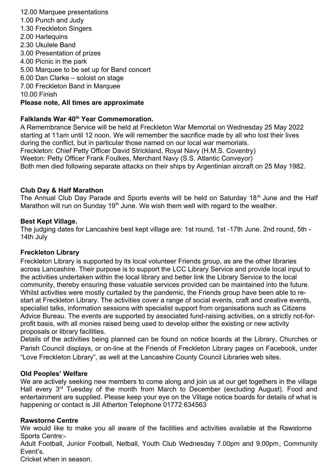12.00 Marquee presentations 1.00 Punch and Judy 1.30 Freckleton Singers 2.00 Harlequins 2.30 Ukulele Band 3.00 Presentation of prizes 4.00 Picnic in the park 5.00 Marquee to be set up for Band concert 6.00 Dan Clarke – soloist on stage 7.00 Freckleton Band in Marquee 10.00 Finish **Please note, All times are approximate**

### **Falklands War 40th Year Commemoration.**

A Remembrance Service will be held at Freckleton War Memorial on Wednesday 25 May 2022 starting at 11am until 12 noon. We will remember the sacrifice made by all who lost their lives during the conflict, but in particular those named on our local war memorials. Freckleton: Chief Petty Officer David Strickland, Royal Navy (H.M.S. Coventry) Weeton: Petty Officer Frank Foulkes, Merchant Navy (S.S. Atlantic Conveyor) Both men died following separate attacks on their ships by Argentinian aircraft on 25 May 1982.

#### **Club Day & Half Marathon**

The Annual Club Day Parade and Sports events will be held on Saturday 18<sup>th</sup> June and the Half Marathon will run on Sunday 19<sup>th</sup> June. We wish them well with regard to the weather.

#### **Best Kept Village.**

The judging dates for Lancashire best kept village are: 1st round, 1st -17th June. 2nd round, 5th - 14th July

#### **Freckleton Library**

Freckleton Library is supported by its local volunteer Friends group, as are the other libraries across Lancashire. Their purpose is to support the LCC Library Service and provide local input to the activities undertaken within the local library and better link the Library Service to the local community, thereby ensuring these valuable services provided can be maintained into the future. Whilst activities were mostly curtailed by the pandemic, the Friends group have been able to restart at Freckleton Library. The activities cover a range of social events, craft and creative events, specialist talks, information sessions with specialist support from organisations such as Citizens Advice Bureau. The events are supported by associated fund-raising activities, on a strictly not-forprofit basis, with all monies raised being used to develop either the existing or new activity proposals or library facilities.

Details of the activities being planned can be found on notice boards at the Library, Churches or Parish Council displays, or on-line at the Friends of Freckleton Library pages on Facebook, under "Love Freckleton Library", as well at the Lancashire County Council Libraries web sites.

#### **Old Peoples' Welfare**

We are actively seeking new members to come along and join us at our get togethers in the village Hall every 3<sup>rd</sup> Tuesday of the month from March to December (excluding August). Food and entertainment are supplied. Please keep your eye on the Village notice boards for details of what is happening or contact is Jill Atherton Telephone 01772 634563

#### **Rawstorne Centre**

We would like to make you all aware of the facilities and activities available at the Rawstorne Sports Centre:-

Adult Football, Junior Football, Netball, Youth Club Wednesday 7.00pm and 9.00pm, Community Event's.

Cricket when in season.